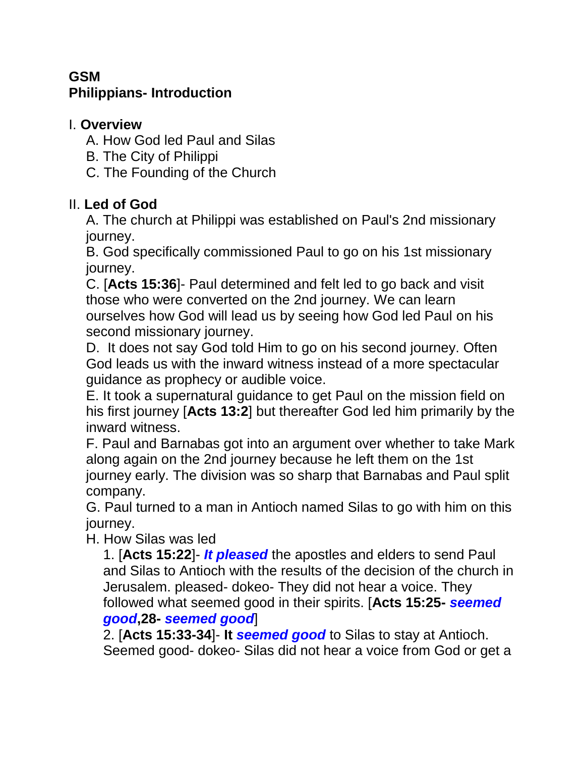# **GSM Philippians- Introduction**

## I. **Overview**

A. How God led Paul and Silas

- B. The City of Philippi
- C. The Founding of the Church

# II. **Led of God**

A. The church at Philippi was established on Paul's 2nd missionary journey.

B. God specifically commissioned Paul to go on his 1st missionary journey.

C. [**Acts 15:36**]- Paul determined and felt led to go back and visit those who were converted on the 2nd journey. We can learn ourselves how God will lead us by seeing how God led Paul on his second missionary journey.

D. It does not say God told Him to go on his second journey. Often God leads us with the inward witness instead of a more spectacular guidance as prophecy or audible voice.

E. It took a supernatural guidance to get Paul on the mission field on his first journey [**Acts 13:2**] but thereafter God led him primarily by the inward witness.

F. Paul and Barnabas got into an argument over whether to take Mark along again on the 2nd journey because he left them on the 1st journey early. The division was so sharp that Barnabas and Paul split company.

G. Paul turned to a man in Antioch named Silas to go with him on this journey.

H. How Silas was led

1. [**Acts 15:22**]- *It pleased* the apostles and elders to send Paul and Silas to Antioch with the results of the decision of the church in Jerusalem. pleased- dokeo- They did not hear a voice. They followed what seemed good in their spirits. [**Acts 15:25-** *seemed good***,28-** *seemed good*]

2. [**Acts 15:33-34**]- **It** *seemed good* to Silas to stay at Antioch. Seemed good- dokeo- Silas did not hear a voice from God or get a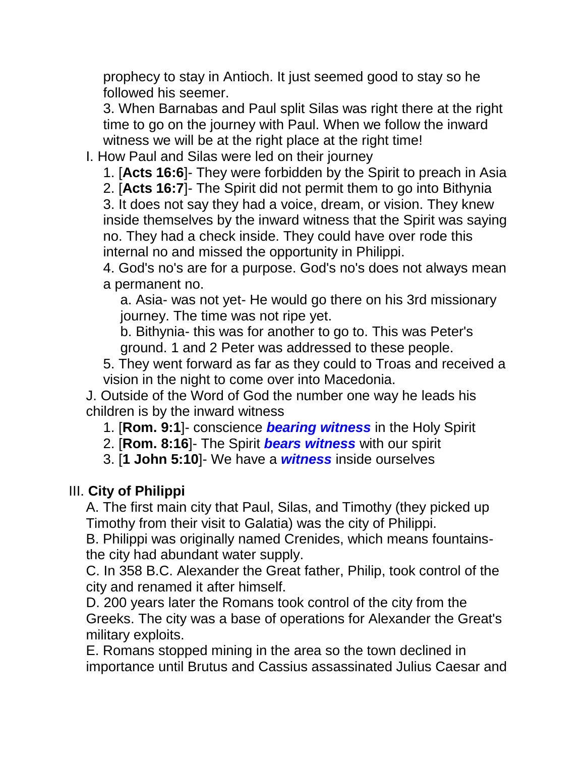prophecy to stay in Antioch. It just seemed good to stay so he followed his seemer.

3. When Barnabas and Paul split Silas was right there at the right time to go on the journey with Paul. When we follow the inward witness we will be at the right place at the right time!

I. How Paul and Silas were led on their journey

1. [**Acts 16:6**]- They were forbidden by the Spirit to preach in Asia

2. [**Acts 16:7**]- The Spirit did not permit them to go into Bithynia

3. It does not say they had a voice, dream, or vision. They knew inside themselves by the inward witness that the Spirit was saying no. They had a check inside. They could have over rode this internal no and missed the opportunity in Philippi.

4. God's no's are for a purpose. God's no's does not always mean a permanent no.

a. Asia- was not yet- He would go there on his 3rd missionary journey. The time was not ripe yet.

b. Bithynia- this was for another to go to. This was Peter's ground. 1 and 2 Peter was addressed to these people.

5. They went forward as far as they could to Troas and received a vision in the night to come over into Macedonia.

J. Outside of the Word of God the number one way he leads his children is by the inward witness

1. [**Rom. 9:1**]- conscience *bearing witness* in the Holy Spirit

2. [**Rom. 8:16**]- The Spirit *bears witness* with our spirit

3. [**1 John 5:10**]- We have a *witness* inside ourselves

#### III. **City of Philippi**

A. The first main city that Paul, Silas, and Timothy (they picked up Timothy from their visit to Galatia) was the city of Philippi.

B. Philippi was originally named Crenides, which means fountainsthe city had abundant water supply.

C. In 358 B.C. Alexander the Great father, Philip, took control of the city and renamed it after himself.

D. 200 years later the Romans took control of the city from the Greeks. The city was a base of operations for Alexander the Great's military exploits.

E. Romans stopped mining in the area so the town declined in importance until Brutus and Cassius assassinated Julius Caesar and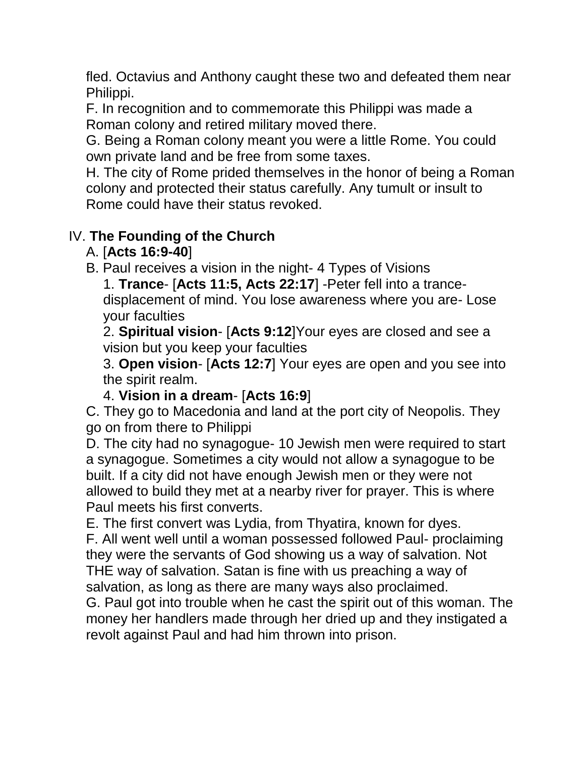fled. Octavius and Anthony caught these two and defeated them near Philippi.

F. In recognition and to commemorate this Philippi was made a Roman colony and retired military moved there.

G. Being a Roman colony meant you were a little Rome. You could own private land and be free from some taxes.

H. The city of Rome prided themselves in the honor of being a Roman colony and protected their status carefully. Any tumult or insult to Rome could have their status revoked.

# IV. **The Founding of the Church**

## A. [**Acts 16:9-40**]

B. Paul receives a vision in the night- 4 Types of Visions

1. **Trance**- [**Acts 11:5, Acts 22:17**] -Peter fell into a trancedisplacement of mind. You lose awareness where you are- Lose your faculties

2. **Spiritual vision**- [**Acts 9:12**]Your eyes are closed and see a vision but you keep your faculties

3. **Open vision**- [**Acts 12:7**] Your eyes are open and you see into the spirit realm.

## 4. **Vision in a dream**- [**Acts 16:9**]

C. They go to Macedonia and land at the port city of Neopolis. They go on from there to Philippi

D. The city had no synagogue- 10 Jewish men were required to start a synagogue. Sometimes a city would not allow a synagogue to be built. If a city did not have enough Jewish men or they were not allowed to build they met at a nearby river for prayer. This is where Paul meets his first converts.

E. The first convert was Lydia, from Thyatira, known for dyes.

F. All went well until a woman possessed followed Paul- proclaiming they were the servants of God showing us a way of salvation. Not THE way of salvation. Satan is fine with us preaching a way of salvation, as long as there are many ways also proclaimed.

G. Paul got into trouble when he cast the spirit out of this woman. The money her handlers made through her dried up and they instigated a revolt against Paul and had him thrown into prison.